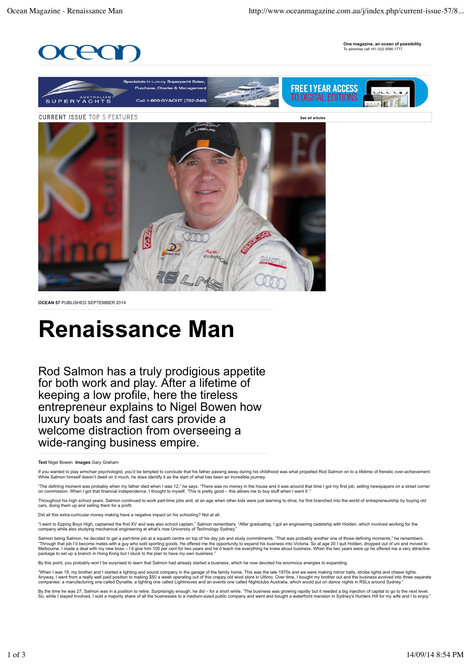

**One magazine, an ocean of possibility** To advertise call +61 (0)2 9566 1777





**OCEAN 57** PUBLISHED SEPTEMBER 2014

# **Renaissance Man**

Rod Salmon has a truly prodigious appetite for both work and play. After a lifetime of keeping a low profile, here the tireless entrepreneur explains to Nigel Bowen how luxury boats and fast cars provide a welcome distraction from overseeing a wide-ranging business empire.

## **Text** Nigel Bowen **Images** Gary Graham

If you wanted to play armchair psychologist, you'd be tempted to conclude that his father passing away during his childhood was what propelled Rod Salmon on to a lifetime of frenetic over-achievement. While Salmon himself doesn't dwell on it much, he does identify it as the start of what has been an incredible journey.

"The defining moment was probably when my father died when I was 12," he says. "There was no money in the house and it was around that time I got my first job, selling newspapers on a street corner<br>on commission. When I go

Throughout his high school years, Salmon continued to work part-time jobs and, at an age when other kids were just learning to drive, he first branched into the world of entrepreneurship by buying old<br>cars, doing them up a

Did all this extra-curricular money making have a negative impact on his schooling? Not at all.

"I went to Epping Boys High, captained the first XV and was also school captain," Salmon remembers. "After graduating, I got an engineering cadetship with Holden, which involved working for the company while also studying mechanical engineering at what's now University of Technology Sydney."

Salmon being Salmon, he decided to get a part-time job at a squash centre on top of his day job and study commitments. "That was probably another one of those defining moments," he remembers.<br>"Through that job I'd become m

By this point, you probably won't be surprised to learn that Salmon had already started a business, which he now devoted his enormous energies to expanding.

"When I was 19, my brother and I started a lighting and sound company in the garage of the family home. This was the late 1970s and we were making mirror balls, strobe lights and chaser lights.<br>Anyway, I went from a really

By the time he was 27, Salmon was in a position to retire. Surprisingly enough, he did – for a short while. "The business was growing rapidly but it needed a big injection of capital to go to the next level.<br>So, while I st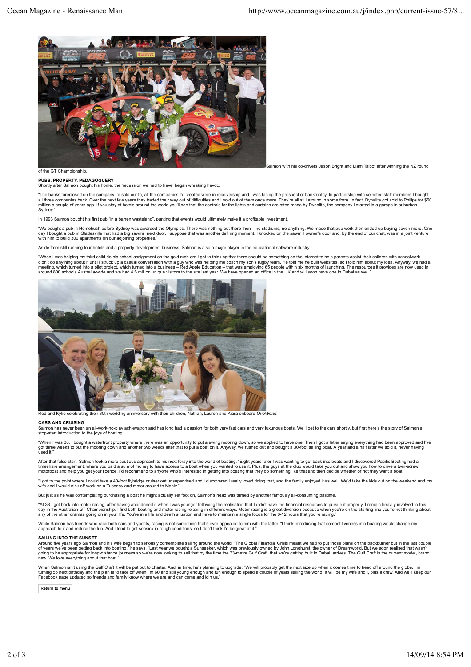

Imon with his co-drivers Jason Bright and Liam Talbot after winning the NZ round

of the GT Championship.

#### **PUBS, PROPERTY, PEDAGOGUERY** Shortly after Salmon bought his home, the 'recession we had to have' began wreaking havoc.

"The banks foreclosed on the company I'd sold out to, all the companies I'd created were in receivership and I was facing the prospect of bankruptcy. In partnership with selected staff members I bought<br>all three companies Sydney.

In 1993 Salmon bought his first pub "in a barren wasteland", punting that events would ultimately make it a profitable investment.

"We bought a pub in Homebush before Sydney was awarded the Olympics. There was nothing out there then – no stadiums, no anything. We made that pub work then ended up buying seven more. One<br>day I bought a pub in Gladesville

Aside from still running four hotels and a property development business, Salmon is also a major player in the educational software industry.

"When I was helping my third child do his school assignment on the gold rush era I got to thinking that there should be something on the internet to help parents assist their children with schoolwork. I<br>didn't do anything around 800 schools Australia-wide and we had 4.6 million unique visitors to the site last year. We have opened an office in the UK and will soon have one in Dubai as well."



**Both wedding anniversary with their children, Nathan, Lauren and Kiara on** 

### **CARS AND CRUISING**

Salmon has never been an all-work-no-play achievatron and has long had a passion for both very fast cars and very luxurious boats. We'll get to the cars shortly, but first here's the story of Salmon's stop-start introduction to the joys of boating.

"When I was 30, I bought a waterfront property where there was an opportunity to put a swing mooring down, so we applied to have one. Then I got a letter saying everything had been approved and I've<br>got thre weeks to put t

After that false start, Salmon took a more cautious approach to his next foray into the world of boating. "Eight years later I was wanting to get back into boats and I discovered Pacific Boating had a<br>timeshare arrangement

"I got to the point where I could take a 40-foot flybridge cruiser out unsupervised and I discovered I really loved doing that, and the family enjoyed it as well. We'd take the kids out on the weekend and my wife and I would nick off work on a Tuesday and motor around to Manly.

But just as he was contemplating purchasing a boat he might actually set foot on, Salmon's head was turned by another famously all-consuming pastime.

"At 38 I got back into motor racing, after having abandoned it when I was younger following the realisation that I didn't have the financial resources to pursue it properly. I remain heavily involved to this day in the Australian GT Championship. I find both boating and motor racing relaxing in different ways. Motor racing is a great diversion because when you're on the starting line you're not thinking about<br>any of the other

While Salmon has friends who race both cars and yachts, racing is not something that's ever appealed to him with the latter. "I think introducing that competitiveness into boating would change my<br>approach to it and reduce

## **SAILING INTO THE SUNSET**

Around five years ago Salmon and his wife began to seriously contemplate sailing around the world. "The Global Financial Crisis meant we had to put those plans on the backburner but in the last couple of years we've been getting back into boating," he says. "Last year we bought a Sunseeker, which was previously owned by John Longhurst, the owner of Dreamworld. But we soon realised that wasn't<br>going to be appropriate for

When Salmon isn't using the Gulf Craft it will be put out to charter. And, in time, he's planning to upgrade. "We will probably get the next size up when it comes time to head off around the globe. I'm<br>turning 55 next birt

**Return to menu**